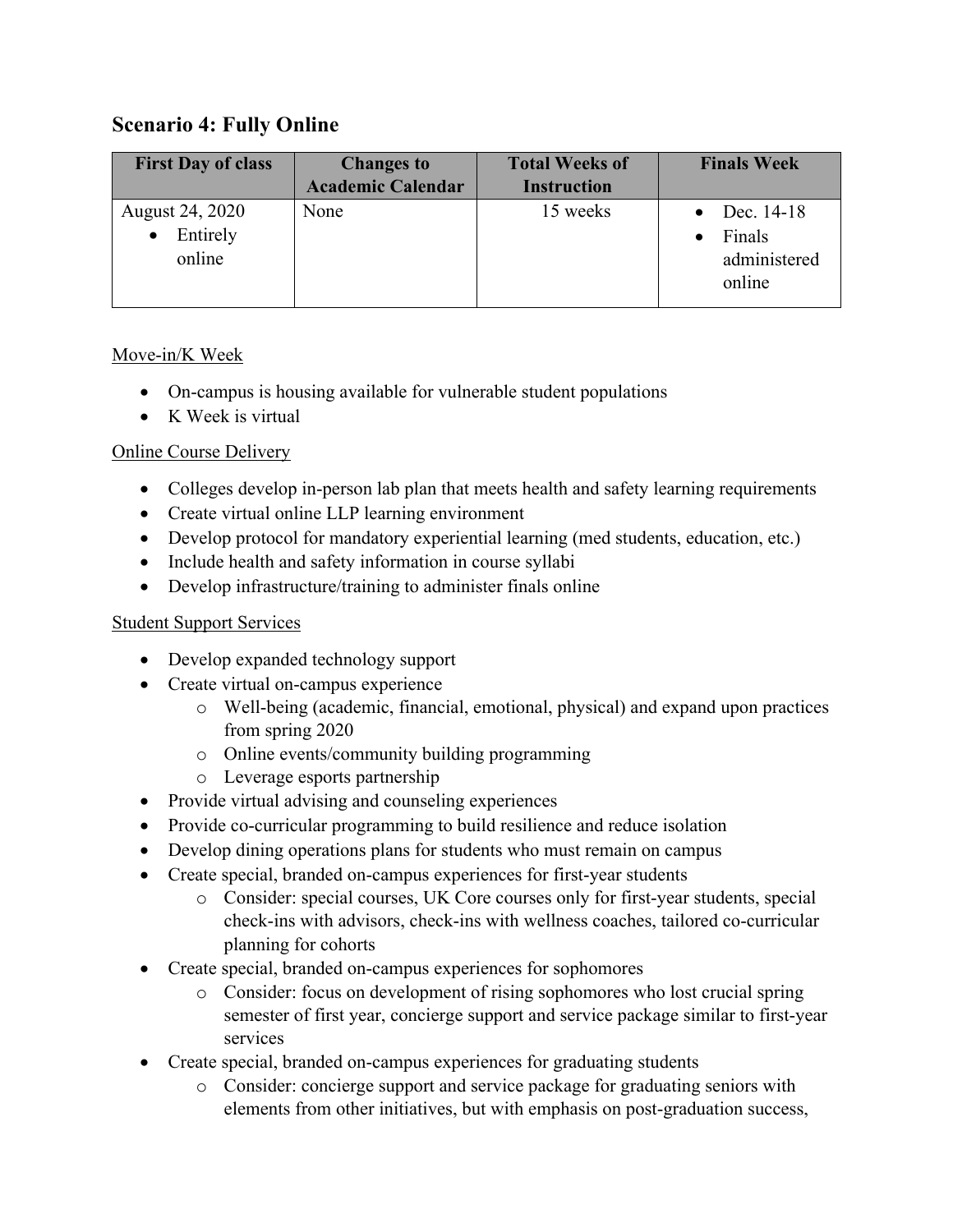# **Scenario 4: Fully Online**

| <b>First Day of class</b>             | <b>Changes to</b>        | <b>Total Weeks of</b> | <b>Finals Week</b>                             |
|---------------------------------------|--------------------------|-----------------------|------------------------------------------------|
|                                       | <b>Academic Calendar</b> | <b>Instruction</b>    |                                                |
| August 24, 2020<br>Entirely<br>online | None                     | 15 weeks              | Dec. 14-18<br>Finals<br>administered<br>online |

### Move-in/K Week

- On-campus is housing available for vulnerable student populations
- K Week is virtual

#### Online Course Delivery

- Colleges develop in-person lab plan that meets health and safety learning requirements
- Create virtual online LLP learning environment
- Develop protocol for mandatory experiential learning (med students, education, etc.)
- Include health and safety information in course syllabi
- Develop infrastructure/training to administer finals online

#### Student Support Services

- Develop expanded technology support
- Create virtual on-campus experience
	- o Well-being (academic, financial, emotional, physical) and expand upon practices from spring 2020
	- o Online events/community building programming
	- o Leverage esports partnership
- Provide virtual advising and counseling experiences
- Provide co-curricular programming to build resilience and reduce isolation
- Develop dining operations plans for students who must remain on campus
- Create special, branded on-campus experiences for first-year students
	- o Consider: special courses, UK Core courses only for first-year students, special check-ins with advisors, check-ins with wellness coaches, tailored co-curricular planning for cohorts
- Create special, branded on-campus experiences for sophomores
	- o Consider: focus on development of rising sophomores who lost crucial spring semester of first year, concierge support and service package similar to first-year services
- Create special, branded on-campus experiences for graduating students
	- o Consider: concierge support and service package for graduating seniors with elements from other initiatives, but with emphasis on post-graduation success,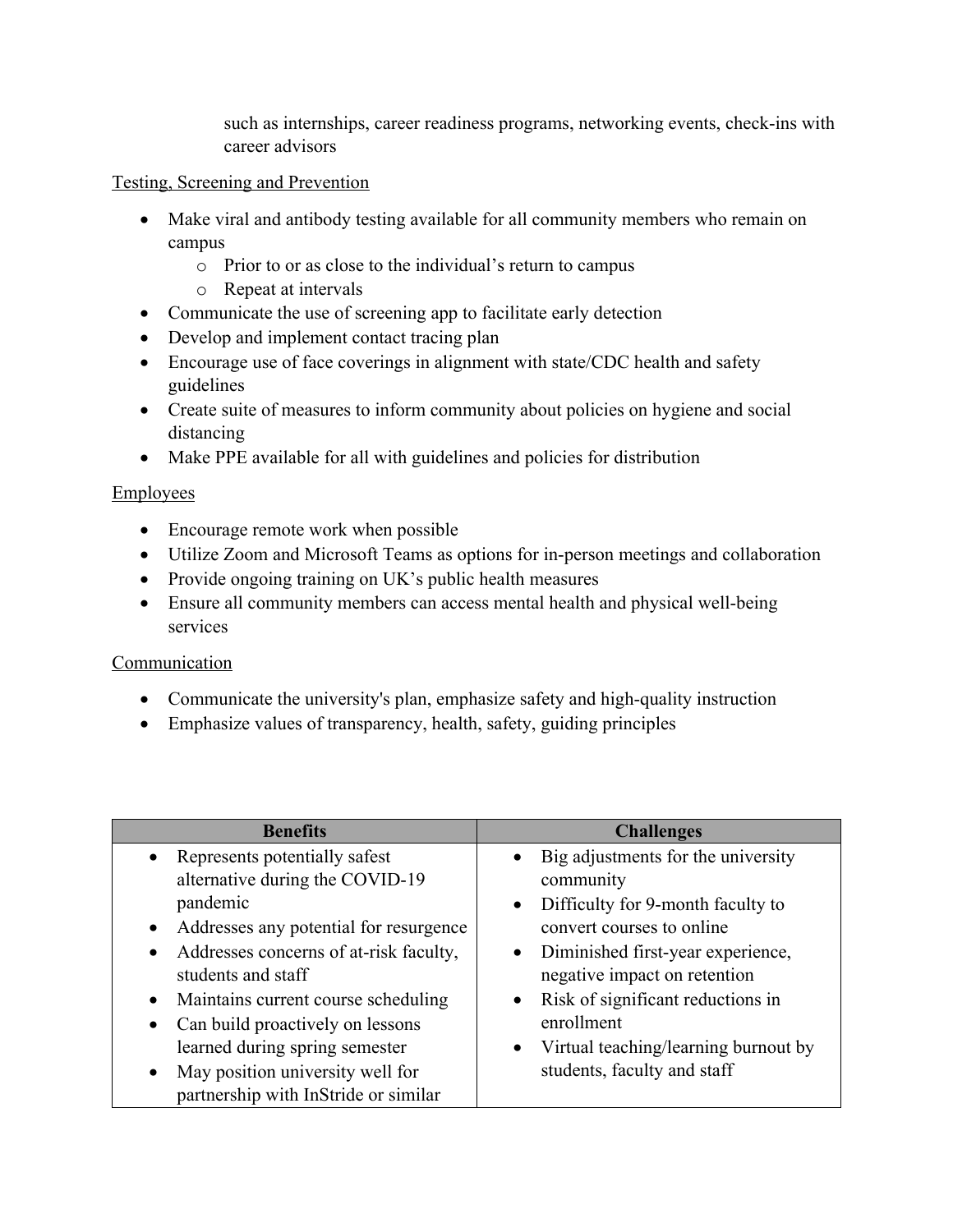such as internships, career readiness programs, networking events, check-ins with career advisors

#### Testing, Screening and Prevention

- Make viral and antibody testing available for all community members who remain on campus
	- o Prior to or as close to the individual's return to campus
	- o Repeat at intervals
- Communicate the use of screening app to facilitate early detection
- Develop and implement contact tracing plan
- Encourage use of face coverings in alignment with state/CDC health and safety guidelines
- Create suite of measures to inform community about policies on hygiene and social distancing
- Make PPE available for all with guidelines and policies for distribution

## **Employees**

- Encourage remote work when possible
- Utilize Zoom and Microsoft Teams as options for in-person meetings and collaboration
- Provide ongoing training on UK's public health measures
- Ensure all community members can access mental health and physical well-being services

## Communication

- Communicate the university's plan, emphasize safety and high-quality instruction
- Emphasize values of transparency, health, safety, guiding principles

| <b>Benefits</b>                                     | <b>Challenges</b>                                 |  |
|-----------------------------------------------------|---------------------------------------------------|--|
| • Represents potentially safest                     | Big adjustments for the university<br>$\bullet$   |  |
| alternative during the COVID-19                     | community                                         |  |
| pandemic                                            | Difficulty for 9-month faculty to<br>$\bullet$    |  |
| Addresses any potential for resurgence<br>$\bullet$ | convert courses to online                         |  |
| Addresses concerns of at-risk faculty,<br>$\bullet$ | Diminished first-year experience,<br>$\bullet$    |  |
| students and staff                                  | negative impact on retention                      |  |
| Maintains current course scheduling<br>$\bullet$    | Risk of significant reductions in<br>$\bullet$    |  |
| Can build proactively on lessons<br>$\bullet$       | enrollment                                        |  |
| learned during spring semester                      | Virtual teaching/learning burnout by<br>$\bullet$ |  |
| May position university well for<br>$\bullet$       | students, faculty and staff                       |  |
| partnership with InStride or similar                |                                                   |  |